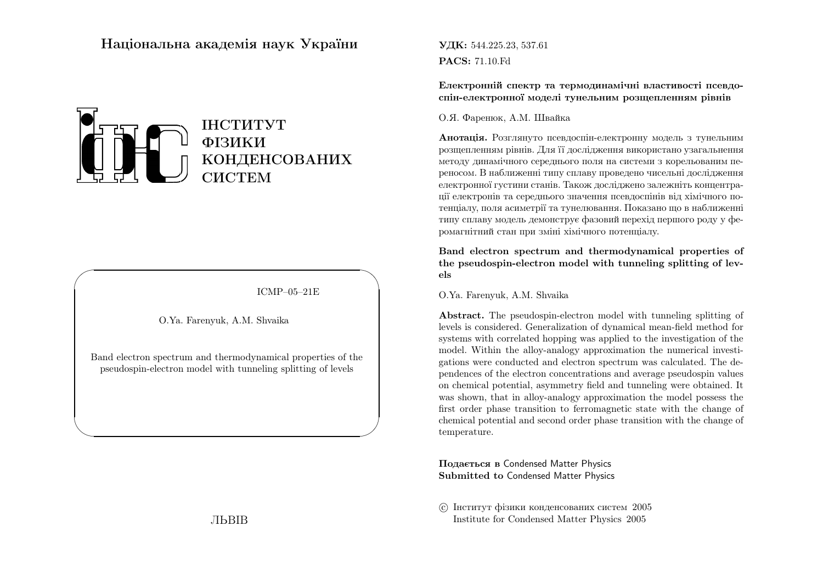# Нацiональна академiя наук України



ICMP–05–21E

✩

 $\mathcal{S}$ 

O.Ya. Farenyuk, A.M. Shvaika

 $\sqrt{2}$ 

 $\setminus$ 

Band electron spectrum and thermodynamical properties of thepseudospin-electron model with tunneling splitting of levels

ЛЬВIВ

**УДК:** 544.225.23, 537.61 PACS: 71.10.Fd

Електроннiй спектр та термодинамiчнi властивостi псевдоспiн-електронної моделi тунельним розщепленням <sup>р</sup>iвнiв

#### О.Я. Фаренюк, А.М. Швайка

**Анотація.** Розглянуто псевдоспін-електронну модель з тунельним розщепленням <sup>р</sup>iвнiв. Для її дослiдження використано узагальнення методу динамiчного середнього поля на системи <sup>з</sup> корельованим переносом. <sup>В</sup> наближеннi типу сплаву проведено чисельнi дослiдження електронно<sup>ї</sup> густини станiв. Також дослiджено залежнiть концентрацiї електронiв та середнього значення псевдоспiнiв вiд хiмiчного потенцiалу, поля асиметрiї та тунелювання. Показано що <sup>в</sup> наближеннi типу сплаву модель демонструє фазовий перехiд першого роду <sup>у</sup> феромагнiтний стан при змiнi хiмiчного потенцiалу.

Band electron spectrum and thermodynamical properties of the pseudospin-electron model with tunneling splitting of levels

O.Ya. Farenyuk, A.M. Shvaika

Abstract. The pseudospin-electron model with tunneling splitting of levels is considered. Generalization of dynamical mean-field method for systems with correlated hopping was applied to the investigation of the model. Within the alloy-analogy approximation the numerical investigations were conducted and electron spectrum was calculated. The dependences of the electron concentrations and average pseudospin values on chemical potential, asymmetry field and tunneling were obtained. It was shown, that in alloy-analogy approximation the model possess the first order <sup>p</sup>hase transition to ferromagnetic state with the change of chemical potential and second order <sup>p</sup>hase transition with the change of temperature.

Подається <sup>в</sup> Condensed Matter Physics Submitted to Condensed Matter Physics

 c Iнститут фiзики конденсованих систем <sup>2005</sup>Institute for Condensed Matter Physics <sup>2005</sup>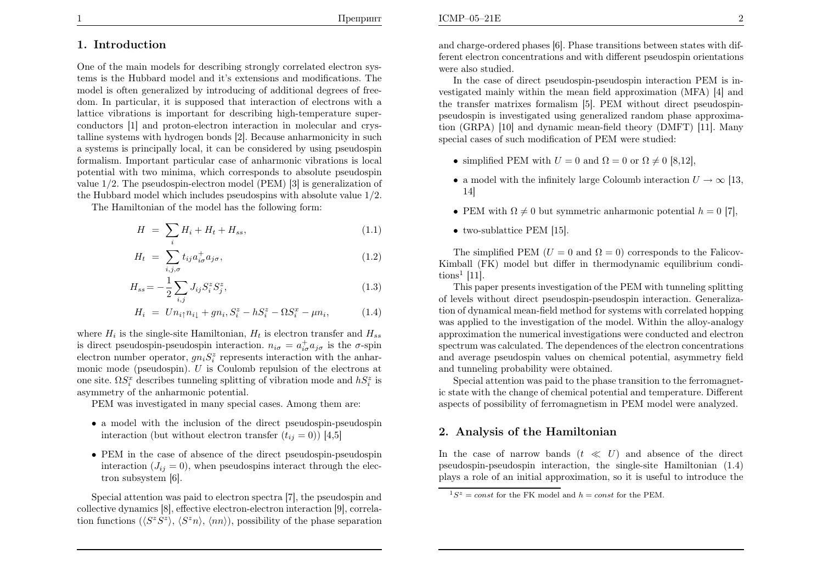# $\mathbf{E}$  2

#### 1. Introduction

One of the main models for describing strongly correlated electron systems is the Hubbard model and it's extensions and modifications. The model is often generalized by introducing of additional degrees of freedom. In particular, it is supposed that interaction of electrons with <sup>a</sup> lattice vibrations is important for describing high-temperature superconductors [1] and proton-electron interaction in molecular and crystalline systems with hydrogen bonds [2]. Because anharmonicity in such <sup>a</sup> systems is principally local, it can be considered by using pseudospin formalism. Important particular case of anharmonic vibrations is local potential with two minima, which corresponds to absolute pseudospin value <sup>1</sup>/<sup>2</sup>. The pseudospin-electron model (PEM) [3] is generalization of the Hubbard model which includes pseudospins with absolute value <sup>1</sup>/<sup>2</sup>.

The Hamiltonian of the model has the following form:

$$
H = \sum_{i} H_i + H_t + H_{ss}, \tag{1.1}
$$

$$
H_t = \sum_{i,j,\sigma} t_{ij} a_{i\sigma}^{\dagger} a_{j\sigma}, \qquad (1.2)
$$

$$
H_{ss} = -\frac{1}{2} \sum_{i,j} J_{ij} S_i^z S_j^z,
$$
\n(1.3)

$$
H_i = U n_{i\uparrow} n_{i\downarrow} + g n_i, S_i^z - h S_i^z - \Omega S_i^x - \mu n_i,
$$
 (1.4)

where  $H_i$  is the single-site Hamiltonian,  $H_t$  is electron transfer and  $H_{ss}$ is direct pseudospin-pseudospin interaction.  $n_{i\sigma} = a_{i\sigma}^{\dagger} a_{j\sigma}$  is the  $\sigma$ -spin electron number operator,  $gn_i S_i^z$  represents interaction with the anharmonic mode (pseudospin). U is Coulomb repulsion of the electrons at one site.  $\Omega S_i^x$  describes tunneling splitting of vibration mode and  $hS_i^z$  is asymmetry of the anharmonic potential.

PEM was investigated in many special cases. Among them are:

- <sup>a</sup> model with the inclusion of the direct pseudospin-pseudospininteraction (but without electron transfer  $(t_{ij} = 0)$ ) [4,5]
- PEM in the case of absence of the direct pseudospin-pseudospininteraction  $(J_{ij} = 0)$ , when pseudospins interact through the electron subsystem [6].

Special attention was paid to electron spectra [7], the pseudospin and collective dynamics [8], effective electron-electron interaction [9], correlation functions  $(\langle S^zS^z \rangle, \langle S^z n \rangle, \langle nn \rangle)$ , possibility of the phase separation

and charge-ordered <sup>p</sup>hases [6]. Phase transitions between states with different electron concentrations and with different pseudospin orientationswere also studied.

In the case of direct pseudospin-pseudospin interaction PEM is investigated mainly within the mean field approximation (MFA) [4] and the transfer matrixes formalism [5]. PEM without direct pseudospinpseudospin is investigated using generalized random <sup>p</sup>hase approximation (GRPA) [10] and dynamic mean-field theory (DMFT) [11]. Manyspecial cases of such modification of PEM were studied:

- simplified PEM with  $U = 0$  and  $\Omega = 0$  or  $\Omega \neq 0$  [8,12],
- a model with the infinitely large Coloumb interaction  $U \to \infty$  [13, 14] 14]
- PEM with  $\Omega \neq 0$  but symmetric anharmonic potential  $h = 0$  [7],
- two-sublattice PEM [15].

The simplified PEM  $(U = 0 \text{ and } \Omega = 0)$  corresponds to the Falicov- Kimball (FK) model but differ in thermodynamic equilibrium conditions<sup>1</sup> [11].

 This paper presents investigation of the PEM with tunneling splitting of levels without direct pseudospin-pseudospin interaction. Generalization of dynamical mean-field method for systems with correlated hopping was applied to the investigation of the model. Within the alloy-analogy approximation the numerical investigations were conducted and electron spectrum was calculated. The dependences of the electron concentrations and average pseudospin values on chemical potential, asymmetry fieldand tunneling probability were obtained.

Special attention was paid to the <sup>p</sup>hase transition to the ferromagnetic state with the change of chemical potential and temperature. Differentaspects of possibility of ferromagnetism in PEM model were analyzed.

### 2. Analysis of the Hamiltonian

In the case of narrow bands  $(t \ll U)$  and absence of the direct pseudospin-pseudospin interaction, the single-site Hamiltonian (1.4)<sup>p</sup>lays <sup>a</sup> role of an initial approximation, so it is useful to introduce the

 $1S^z = const$  for the FK model and  $h = const$  for the PEM.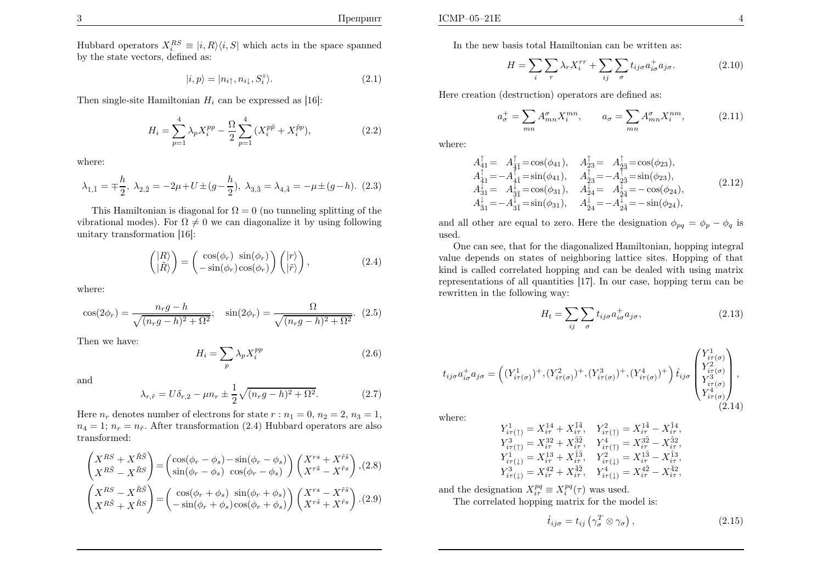Hubbard operators  $X_i^{RS} \equiv |i, R\rangle\langle i, S|$  which acts in the space spanned by the state vectors, defined as:

$$
|i, p\rangle = |n_{i\uparrow}, n_{i\downarrow}, S_i^z\rangle. \tag{2.1}
$$

Then single-site Hamiltonian  $H_i$  can be expressed as [16]:

$$
H_i = \sum_{p=1}^{4} \lambda_p X_i^{pp} - \frac{\Omega}{2} \sum_{p=1}^{4} (X_i^{p\tilde{p}} + X_i^{\tilde{p}p}),
$$
 (2.2)

where:

$$
\lambda_{1,\tilde{1}} = \pm \frac{h}{2}, \ \lambda_{2,\tilde{2}} = -2\mu + U \pm (g - \frac{h}{2}), \ \lambda_{3,\tilde{3}} = \lambda_{4,\tilde{4}} = -\mu \pm (g - h). \tag{2.3}
$$

This Hamiltonian is diagonal for  $\Omega = 0$  (no tunneling splitting of the vibrational modes). For  $\Omega \neq 0$  we can diagonalize it by using following unitary transformation [16]:

$$
\begin{pmatrix}\n|R\rangle \\
|\tilde{R}\rangle\n\end{pmatrix} = \begin{pmatrix}\n\cos(\phi_r) & \sin(\phi_r) \\
-\sin(\phi_r)\cos(\phi_r)\n\end{pmatrix} \begin{pmatrix}\n|r\rangle \\
|\tilde{r}\rangle\n\end{pmatrix},
$$
\n(2.4)

where:

$$
\cos(2\phi_r) = \frac{n_r g - h}{\sqrt{(n_r g - h)^2 + \Omega^2}}; \quad \sin(2\phi_r) = \frac{\Omega}{\sqrt{(n_r g - h)^2 + \Omega^2}}.
$$
 (2.5)

Then we have:

$$
H_i = \sum_p \lambda_p X_i^{pp} \tag{2.6}
$$

and

$$
\lambda_{r,\tilde{r}} = U\delta_{r,2} - \mu n_r \pm \frac{1}{2}\sqrt{(n_r g - h)^2 + \Omega^2}.
$$
 (2.7)

Here  $n_r$  denotes number of electrons for state  $r : n_1 = 0, n_2 = 2, n_3 = 1$ ,  $n_4 = 1$ ;  $n_r = n_{\tilde{r}}$ . After transformation (2.4) Hubbard operators are also transformed:

$$
\begin{pmatrix} X^{RS} + X^{\tilde{R}\tilde{S}} \\ X^{R\tilde{S}} - X^{\tilde{R}S} \end{pmatrix} = \begin{pmatrix} \cos(\phi_r - \phi_s) - \sin(\phi_r - \phi_s) \\ \sin(\phi_r - \phi_s) & \cos(\phi_r - \phi_s) \end{pmatrix} \begin{pmatrix} X^{rs} + X^{\tilde{r}\tilde{s}} \\ X^{r\tilde{s}} - X^{\tilde{r}s} \end{pmatrix}, (2.8)
$$

$$
\begin{pmatrix} X^{RS} - X^{\tilde{R}\tilde{S}} \\ X^{R\tilde{S}} + X^{\tilde{R}S} \end{pmatrix} = \begin{pmatrix} \cos(\phi_r + \phi_s) & \sin(\phi_r + \phi_s) \\ -\sin(\phi_r + \phi_s) & \cos(\phi_r + \phi_s) \end{pmatrix} \begin{pmatrix} X^{rs} - X^{\tilde{r}\tilde{s}} \\ X^{r\tilde{s}} + X^{\tilde{r}s} \end{pmatrix}. (2.9)
$$

In the new basis total Hamiltonian can be written as:

$$
H = \sum_{i} \sum_{r} \lambda_{r} X_{i}^{rr} + \sum_{ij} \sum_{\sigma} t_{ij\sigma} a_{i\sigma}^{+} a_{j\sigma}.
$$
 (2.10)

Here creation (destruction) operators are defined as:

$$
a_{\sigma}^{+} = \sum_{mn} A_{mn}^{\sigma} X_i^{mn}, \qquad a_{\sigma} = \sum_{mn} A_{mn}^{\sigma} X_i^{nm}, \qquad (2.11)
$$

where:

$$
A_{41}^{\dagger} = A_{4\bar{1}}^{\dagger} = \cos(\phi_{41}), \quad A_{23}^{\dagger} = A_{\bar{2}\bar{3}}^{\dagger} = \cos(\phi_{23}), A_{41}^{\dagger} = -A_{4\bar{1}}^{\dagger} = \sin(\phi_{41}), \quad A_{23}^{\dagger} = -A_{2\bar{3}}^{\dagger} = \sin(\phi_{23}), A_{31}^{\dagger} = A_{\bar{3}\bar{1}}^{\dagger} = \cos(\phi_{31}), \quad A_{24}^{\dagger} = A_{\bar{2}\bar{4}}^{\dagger} = -\cos(\phi_{24}), A_{31}^{\dagger} = -A_{3\bar{1}}^{\dagger} = \sin(\phi_{31}), \quad A_{24}^{\dagger} = -A_{2\bar{4}}^{\dagger} = -\sin(\phi_{24}),
$$
\n(2.12)

and all other are equal to zero. Here the designation  $\phi_{pq} = \phi_p - \phi_q$  is used.

 One can see, that for the diagonalized Hamiltonian, hopping integral value depends on states of neighboring lattice sites. Hopping of that kind is called correlated hopping and can be dealed with using matrix representations of all quantities [17]. In our case, hopping term can berewritten in the following way:

$$
H_t = \sum_{ij} \sum_{\sigma} t_{ij\sigma} a^+_{i\sigma} a_{j\sigma}, \qquad (2.13)
$$

$$
t_{ij\sigma}a_{i\sigma}^+a_{j\sigma} = \left( (Y_{i\tau(\sigma)}^1)^+, (Y_{i\tau(\sigma)}^2)^+, (Y_{i\tau(\sigma)}^3)^+, (Y_{i\tau(\sigma)}^4)^+ \right) \hat{t}_{ij\sigma} \begin{pmatrix} Y_{i\tau(\sigma)}^1 \\ Y_{i\tau(\sigma)}^2 \\ Y_{i\tau(\sigma)}^3 \\ Y_{i\tau(\sigma)}^4 \end{pmatrix},
$$
\n(2.14)

where:

$$
Y_{i\tau(\uparrow)}^1 = X_{i\tau}^{14} + X_{i\tau}^{\tilde{1}4}, \quad Y_{i\tau(\uparrow)}^2 = X_{i\tau}^{14} - X_{i\tau}^{\tilde{1}4},
$$
  
\n
$$
Y_{i\tau(\uparrow)}^3 = X_{i\tau}^{32} + X_{i\tau}^{32}, \quad Y_{i\tau(\uparrow)}^4 = X_{i\tau}^{32} - X_{i\tau}^{32},
$$
  
\n
$$
Y_{i\tau(1)}^1 = X_{i\tau}^{13} + X_{i\tau}^{\tilde{1}3}, \quad Y_{i\tau(1)}^2 = X_{i\tau}^{13} - X_{i\tau}^{\tilde{1}3},
$$
  
\n
$$
Y_{i\tau(1)}^3 = X_{i\tau}^{42} + X_{i\tau}^{\tilde{4}2}, \quad Y_{i\tau(1)}^4 = X_{i\tau}^{42} - X_{i\tau}^{\tilde{4}2},
$$

and the designation  $X_{i\tau}^{pq} \equiv X_i^{pq}(\tau)$  was used.

The correlated hopping matrix for the model is:

$$
\hat{t}_{ij\sigma} = t_{ij} \left( \gamma_{\sigma}^T \otimes \gamma_{\sigma} \right), \tag{2.15}
$$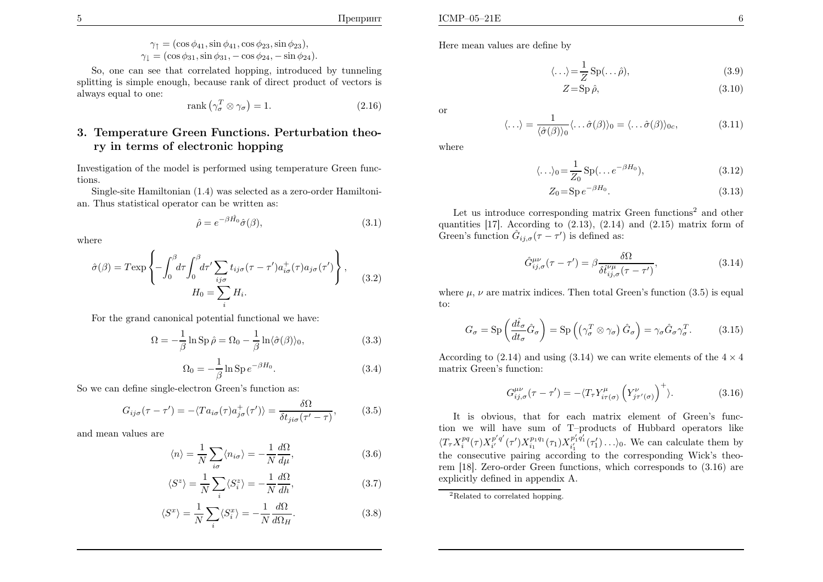$$
\gamma_1 = (\cos \phi_{41}, \sin \phi_{41}, \cos \phi_{23}, \sin \phi_{23}), \n\gamma_1 = (\cos \phi_{31}, \sin \phi_{31}, -\cos \phi_{24}, -\sin \phi_{24}).
$$

So, one can see that correlated hopping, introduced by tunneling splitting is simple enough, because rank of direct product of vectors isalways equa<sup>l</sup> to one:

$$
rank(\gamma_{\sigma}^T \otimes \gamma_{\sigma}) = 1. \tag{2.16}
$$

## 3. Temperature Green Functions. Perturbation theory in terms of electronic hopping

Investigation of the model is performed using temperature Green functions.

Single-site Hamiltonian (1.4) was selected as <sup>a</sup> zero-order Hamiltonian. Thus statistical operator can be written as:

$$
\hat{\rho} = e^{-\beta \hat{H_0}} \hat{\sigma}(\beta), \tag{3.1}
$$

where

$$
\hat{\sigma}(\beta) = T \exp \left\{ -\int_0^\beta d\tau \int_0^\beta d\tau' \sum_{ij\sigma} t_{ij\sigma} (\tau - \tau') a_{i\sigma}^+(\tau) a_{j\sigma}(\tau') \right\},
$$
  
\n
$$
H_0 = \sum_i H_i.
$$
\n(3.2)

For the grand canonical potential functional we have:

$$
\Omega = -\frac{1}{\beta} \ln \operatorname{Sp} \hat{\rho} = \Omega_0 - \frac{1}{\beta} \ln \langle \hat{\sigma}(\beta) \rangle_0, \tag{3.3}
$$

$$
\Omega_0 = -\frac{1}{\beta} \ln \operatorname{Sp} e^{-\beta H_0}.
$$
\n(3.4)

So we can define single-electron Green's function as:

$$
G_{ij\sigma}(\tau - \tau') = -\langle Ta_{i\sigma}(\tau)a_{j\sigma}^{+}(\tau')\rangle = \frac{\delta\Omega}{\delta t_{ji\sigma}(\tau' - \tau)},
$$
(3.5)

and mean values are

$$
\langle n \rangle = \frac{1}{N} \sum_{i\sigma} \langle n_{i\sigma} \rangle = -\frac{1}{N} \frac{d\Omega}{d\mu},\tag{3.6}
$$

$$
\langle S^z \rangle = \frac{1}{N} \sum_{i} \langle S_i^z \rangle = -\frac{1}{N} \frac{d\Omega}{dh},\tag{3.7}
$$

$$
\langle S^x \rangle = \frac{1}{N} \sum_{i} \langle S_i^x \rangle = -\frac{1}{N} \frac{d\Omega}{d\Omega_H}.
$$
 (3.8)

Here mean values are define by

$$
\langle \ldots \rangle = \frac{1}{Z} \operatorname{Sp}(\ldots \hat{\rho}),\tag{3.9}
$$

$$
Z = \mathrm{Sp}\,\hat{\rho},\tag{3.10}
$$

or

$$
\langle \ldots \rangle = \frac{1}{\langle \hat{\sigma}(\beta) \rangle_0} \langle \ldots \hat{\sigma}(\beta) \rangle_0 = \langle \ldots \hat{\sigma}(\beta) \rangle_{0c}, \tag{3.11}
$$

where

$$
\langle \ldots \rangle_0 = \frac{1}{Z_0} \operatorname{Sp}(\ldots e^{-\beta H_0}),\tag{3.12}
$$

$$
Z_0 = \text{Sp} \, e^{-\beta H_0}.
$$
\n(3.13)

Let us introduce corresponding matrix Green functions<sup>2</sup> and other quantities  $[17]$ . According to  $(2.13)$ ,  $(2.14)$  and  $(2.15)$  matrix form of Green's function  $\hat{G}_{ij,\sigma}(\tau-\tau')$  is defined as:

$$
\hat{G}^{\mu\nu}_{ij,\sigma}(\tau-\tau') = \beta \frac{\delta\Omega}{\delta \hat{t}^{\nu\mu}_{ij,\sigma}(\tau-\tau')},\tag{3.14}
$$

where  $\mu$ ,  $\nu$  are matrix indices. Then total Green's function (3.5) is equal to:

$$
G_{\sigma} = \text{Sp}\left(\frac{d\hat{t}_{\sigma}}{dt_{\sigma}}\hat{G}_{\sigma}\right) = \text{Sp}\left(\left(\gamma_{\sigma}^T \otimes \gamma_{\sigma}\right)\hat{G}_{\sigma}\right) = \gamma_{\sigma}\hat{G}_{\sigma}\gamma_{\sigma}^T. \tag{3.15}
$$

According to  $(2.14)$  and using  $(3.14)$  we can write elements of the  $4 \times 4$ matrix Green's function:

$$
G_{ij,\sigma}^{\mu\nu}(\tau - \tau') = -\langle T_{\tau} Y_{i\tau(\sigma)}^{\mu} \left( Y_{j\tau'(\sigma)}^{\nu} \right)^{+} \rangle. \tag{3.16}
$$

It is obvious, that for each matrix element of Green's function we will have sum of T–products of Hubbard operators like $\langle T_{\tau} X_i^{pq}(\tau) X_{i'}^{p'q'}(\tau') X_{i_1}^{p_1q_1}(\tau_1) X_{i'}^{p'_1q'_1}(\tau'_1) \ldots \rangle_0$ . We can calculate them by the consecutive pairing according to the corresponding Wick's theo- $\frac{p'q'}{i'}(\tau$  $^{\prime})X_{i_{1}}^{p_{1}q_{1}}(\tau_{1})X_{i_{1}^{\prime}}^{p_{1}}$  $\frac{p'_1q'_1}{i'_1}(\tau$  $\langle 1 \rangle \ldots \rangle_0$ . We can calculate them by rem [18]. Zero-order Green functions, which corresponds to (3.16) are explicitly defined in appendix A.

<sup>&</sup>lt;sup>2</sup>Related to correlated hopping.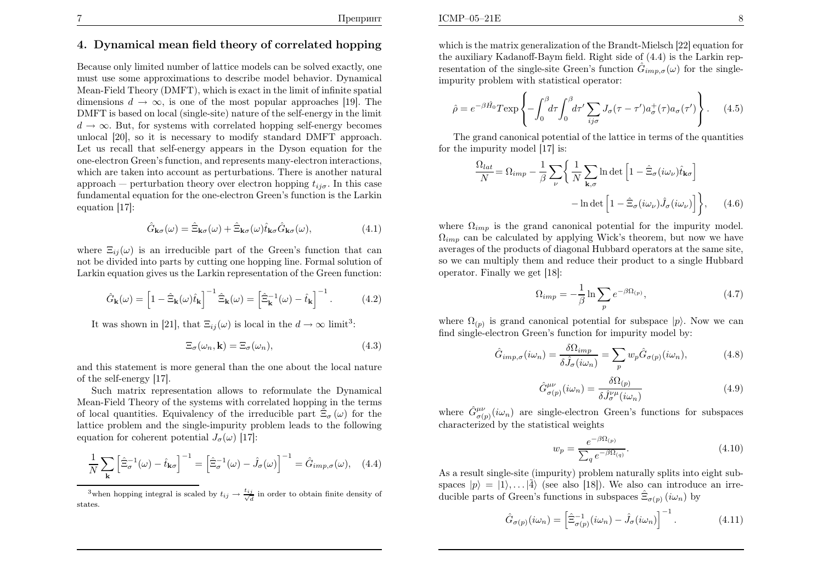#### 4. Dynamical mean field theory of correlated hopping

Because only limited number of lattice models can be solved exactly, one must use some approximations to describe model behavior. Dynamical Mean-Field Theory (DMFT), which is exact in the limit of infinite spatial dimensions  $d \to \infty$ , is one of the most popular approaches [19]. The DMFT is based on local (single-site) nature of the self-energy in the limit $d \rightarrow \infty$ . But, for systems with correlated hopping self-energy becomes unlocal [20], so it is necessary to modify standard DMFT approach. Let us recall that self-energy appears in the Dyson equation for the one-electron Green's function, and represents many-electron interactions, which are taken into account as perturbations. There is another natural approach — perturbation theory over electron hopping  $t_{ij\sigma}$ . In this case fundamental equation for the one-electron Green's function is the Larkinequation [17]:

$$
\hat{G}_{\mathbf{k}\sigma}(\omega) = \hat{\Xi}_{\mathbf{k}\sigma}(\omega) + \hat{\Xi}_{\mathbf{k}\sigma}(\omega)\hat{t}_{\mathbf{k}\sigma}\hat{G}_{\mathbf{k}\sigma}(\omega),
$$
(4.1)

where  $\Xi_{ij}(\omega)$  is an irreducible part of the Green's function that can not be divided into parts by cutting one hopping line. Formal solution of Larkin equation gives us the Larkin representation of the Green function:

$$
\hat{G}_{\mathbf{k}}(\omega) = \left[1 - \hat{\Xi}_{\mathbf{k}}(\omega)\hat{t}_{\mathbf{k}}\right]^{-1} \hat{\Xi}_{\mathbf{k}}(\omega) = \left[\hat{\Xi}_{\mathbf{k}}^{-1}(\omega) - \hat{t}_{\mathbf{k}}\right]^{-1}.
$$
 (4.2)

It was shown in [21], that  $\Xi_{ij}(\omega)$  is local in the  $d \to \infty$  limit<sup>3</sup>:

$$
\Xi_{\sigma}(\omega_n, \mathbf{k}) = \Xi_{\sigma}(\omega_n),\tag{4.3}
$$

and this statement is more genera<sup>l</sup> than the one about the local natureof the self-energy [17].

Such matrix representation allows to reformulate the Dynamical Mean-Field Theory of the systems with correlated hopping in the terms of local quantities. Equivalency of the irreducible part  $\hat{\Xi}_{\sigma}(\omega)$  for the lattice problem and the single-impurity problem leads to the followingequation for coherent potential  $J_{\sigma}(\omega)$  [17]:

$$
\frac{1}{N} \sum_{\mathbf{k}} \left[ \hat{\Xi}_{\sigma}^{-1}(\omega) - \hat{t}_{\mathbf{k}\sigma} \right]^{-1} = \left[ \hat{\Xi}_{\sigma}^{-1}(\omega) - \hat{J}_{\sigma}(\omega) \right]^{-1} = \hat{G}_{imp,\sigma}(\omega), \quad (4.4)
$$

<sup>3</sup>when hopping integral is scaled by  $t_{ij} \rightarrow \frac{t_{ij}}{\sqrt{d}}$  in order to obtain finite density of states.

which is the matrix generalization of the Brandt-Mielsch [22] equation for the auxiliary Kadanoff-Baym field. Right side of (4.4) is the Larkin representation of the single-site Green's function  $\hat{G}_{imp,\sigma}(\omega)$  for the singleimpurity problem with statistical operator:

$$
\hat{\rho} = e^{-\beta \hat{H_0}} T \exp \left\{ -\int_0^\beta d\tau \int_0^\beta d\tau' \sum_{ij\sigma} J_\sigma(\tau - \tau') a_\sigma^+(\tau) a_\sigma(\tau') \right\}.
$$
 (4.5)

The grand canonical potential of the lattice in terms of the quantitiesfor the impurity model [17] is:

$$
\frac{\Omega_{lat}}{N} = \Omega_{imp} - \frac{1}{\beta} \sum_{\nu} \left\{ \frac{1}{N} \sum_{\mathbf{k},\sigma} \ln \det \left[ 1 - \hat{\Xi}_{\sigma} (i\omega_{\nu}) \hat{t}_{\mathbf{k}\sigma} \right] - \ln \det \left[ 1 - \hat{\Xi}_{\sigma} (i\omega_{\nu}) \hat{J}_{\sigma} (i\omega_{\nu}) \right] \right\}, \quad (4.6)
$$

where  $\Omega_{imp}$  is the grand canonical potential for the impurity model.  $\Omega_{imp}$  can be calculated by applying Wick's theorem, but now we have averages of the products of diagonal Hubbard operators at the same site, so we can multiply them and reduce their product to <sup>a</sup> single Hubbardoperator. Finally we get [18]:

$$
\Omega_{imp} = -\frac{1}{\beta} \ln \sum_{p} e^{-\beta \Omega_{(p)}},\tag{4.7}
$$

where  $\Omega_{(p)}$  is grand canonical potential for subspace  $|p\rangle$ . Now we can find single-electron Green's function for impurity model by:

$$
\hat{G}_{imp,\sigma}(i\omega_n) = \frac{\delta\Omega_{imp}}{\delta\hat{J}_{\sigma}(i\omega_n)} = \sum_p w_p \hat{G}_{\sigma(p)}(i\omega_n),\tag{4.8}
$$

$$
\hat{G}^{\mu\nu}_{\sigma(p)}(i\omega_n) = \frac{\delta\Omega_{(p)}}{\delta\hat{J}^{\nu\mu}_{\sigma}(i\omega_n)}\tag{4.9}
$$

where  $\hat{G}^{\mu\nu}_{\sigma(p)}(i\omega_n)$  are single-electron Green's functions for subspaces characterized by the statistical weights

$$
w_p = \frac{e^{-\beta \Omega_{(p)}}}{\sum_q e^{-\beta \Omega_{(q)}}}.\tag{4.10}
$$

As <sup>a</sup> result single-site (impurity) problem naturally splits into eight subspaces  $|p\rangle = |1\rangle, \dots |4\rangle$  (see also [18]). We also can introduce an irreducible parts of Green's functions in subspaces  $\hat{\Xi}_{\sigma(p)}(i\omega_n)$  by

$$
\hat{G}_{\sigma(p)}(i\omega_n) = \left[\hat{\Xi}_{\sigma(p)}^{-1}(i\omega_n) - \hat{J}_{\sigma}(i\omega_n)\right]^{-1}.
$$
\n(4.11)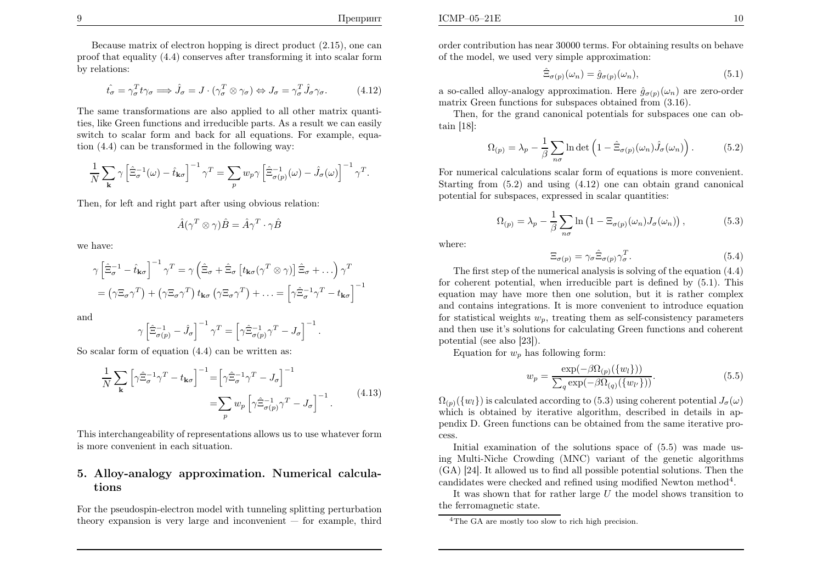$\mathbf{E}$  10

Because matrix of electron hopping is direct product (2.15), one can proo<sup>f</sup> that equality (4.4) conserves after transforming it into scalar formby relations:

$$
\hat{t}_{\sigma} = \gamma_{\sigma}^{T} t \gamma_{\sigma} \Longrightarrow \hat{J}_{\sigma} = J \cdot (\gamma_{\sigma}^{T} \otimes \gamma_{\sigma}) \Leftrightarrow J_{\sigma} = \gamma_{\sigma}^{T} \hat{J}_{\sigma} \gamma_{\sigma}. \tag{4.12}
$$

The same transformations are also applied to all other matrix quantities, like Green functions and irreducible parts. As <sup>a</sup> result we can easily switch to scalar form and back for all equations. For example, equation (4.4) can be transformed in the following way:

$$
\frac{1}{N} \sum_{\mathbf{k}} \gamma \left[ \hat{\Xi}_{\sigma}^{-1}(\omega) - \hat{t}_{\mathbf{k}\sigma} \right]^{-1} \gamma^T = \sum_{p} w_p \gamma \left[ \hat{\Xi}_{\sigma(p)}^{-1}(\omega) - \hat{J}_{\sigma}(\omega) \right]^{-1} \gamma^T
$$

Then, for left and right part after using obvious relation:

$$
\hat{A}(\gamma^T \otimes \gamma)\hat{B} = \hat{A}\gamma^T \cdot \gamma\hat{B}
$$

we have:

$$
\gamma \left[ \hat{\Xi}_{\sigma}^{-1} - \hat{t}_{\mathbf{k}\sigma} \right]^{-1} \gamma^T = \gamma \left( \hat{\Xi}_{\sigma} + \hat{\Xi}_{\sigma} \left[ t_{\mathbf{k}\sigma} (\gamma^T \otimes \gamma) \right] \hat{\Xi}_{\sigma} + \ldots \right) \gamma^T
$$

$$
= (\gamma \Xi_{\sigma} \gamma^T) + (\gamma \Xi_{\sigma} \gamma^T) t_{\mathbf{k}\sigma} (\gamma \Xi_{\sigma} \gamma^T) + \ldots = \left[ \gamma \hat{\Xi}_{\sigma}^{-1} \gamma^T - t_{\mathbf{k}\sigma} \right]^{-1}
$$

and

$$
\gamma \left[\hat{\Xi}_{\sigma(p)}^{-1} - \hat{J}_{\sigma}\right]^{-1} \gamma^T = \left[\gamma \hat{\Xi}_{\sigma(p)}^{-1} \gamma^T - J_{\sigma}\right]^{-1}.
$$

So scalar form of equation  $(4.4)$  can be written as:

$$
\frac{1}{N} \sum_{\mathbf{k}} \left[ \gamma \hat{\Xi}_{\sigma}^{-1} \gamma^{T} - t_{\mathbf{k}\sigma} \right]^{-1} = \left[ \gamma \hat{\Xi}_{\sigma}^{-1} \gamma^{T} - J_{\sigma} \right]^{-1}
$$
\n
$$
= \sum_{p} w_{p} \left[ \gamma \hat{\Xi}_{\sigma(p)}^{-1} \gamma^{T} - J_{\sigma} \right]^{-1} . \tag{4.13}
$$

This interchangeability of representations allows us to use whatever formis more convenient in each situation.

#### 5. Alloy-analogy approximation. Numerical calculations

For the pseudospin-electron model with tunneling splitting perturbationtheory expansion is very large and inconvenient — for example, third

order contribution has near <sup>30000</sup> terms. For obtaining results on behaveof the model, we used very simple approximation:

$$
\hat{\Xi}_{\sigma(p)}(\omega_n) = \hat{g}_{\sigma(p)}(\omega_n),\tag{5.1}
$$

a so-called alloy-analogy approximation. Here  $\hat{g}_{\sigma(p)}(\omega_n)$  are zero-order matrix Green functions for subspaces obtained from (3.16).

Then, for the grand canonical potentials for subspaces one can obtain [18]:

$$
\Omega_{(p)} = \lambda_p - \frac{1}{\beta} \sum_{n\sigma} \ln \det \left( 1 - \hat{\Xi}_{\sigma(p)}(\omega_n) \hat{J}_{\sigma}(\omega_n) \right). \tag{5.2}
$$

For numerical calculations scalar form of equations is more convenient. Starting from (5.2) and using (4.12) one can obtain grand canonical potential for subspaces, expressed in scalar quantities:

$$
\Omega_{(p)} = \lambda_p - \frac{1}{\beta} \sum_{n\sigma} \ln \left( 1 - \Xi_{\sigma(p)}(\omega_n) J_{\sigma}(\omega_n) \right),\tag{5.3}
$$

where:

$$
\Xi_{\sigma(p)} = \gamma_{\sigma} \hat{\Xi}_{\sigma(p)} \gamma_{\sigma}^T.
$$
\n(5.4)

 The first step of the numerical analysis is solving of the equation (4.4) for coherent potential, when irreducible part is defined by (5.1). This equation may have more then one solution, but it is rather complex and contains integrations. It is more convenient to introduce equationfor statistical weights  $w_p$ , treating them as self-consistency parameters and then use it's solutions for calculating Green functions and coherent potential (see also [23]).

Equation for  $w_p$  has following form:

$$
w_p = \frac{\exp(-\beta \Omega_{(p)}(\{w_l\}))}{\sum_q \exp(-\beta \Omega_{(q)}(\{w_{l'}\}))}.
$$
\n(5.5)

 $\Omega_{(p)}(\{w_l\})$  is calculated according to  $(5.3)$  using coherent potential  $J_\sigma(\omega)$  which is obtained by iterative algorithm, described in details in appendix D. Green functions can be obtained from the same iterative process.

 Initial examination of the solutions space of (5.5) was made using Multi-Niche Crowding (MNC) variant of the genetic algorithms (GA) [24]. It allowed us to find all possible potential solutions. Then thecandidates were checked and refined using modified Newton method<sup>4</sup>.

It was shown that for rather large  $U$  the model shows transition to the ferromagnetic state.

<sup>&</sup>lt;sup>4</sup>The GA are mostly too slow to rich high precision.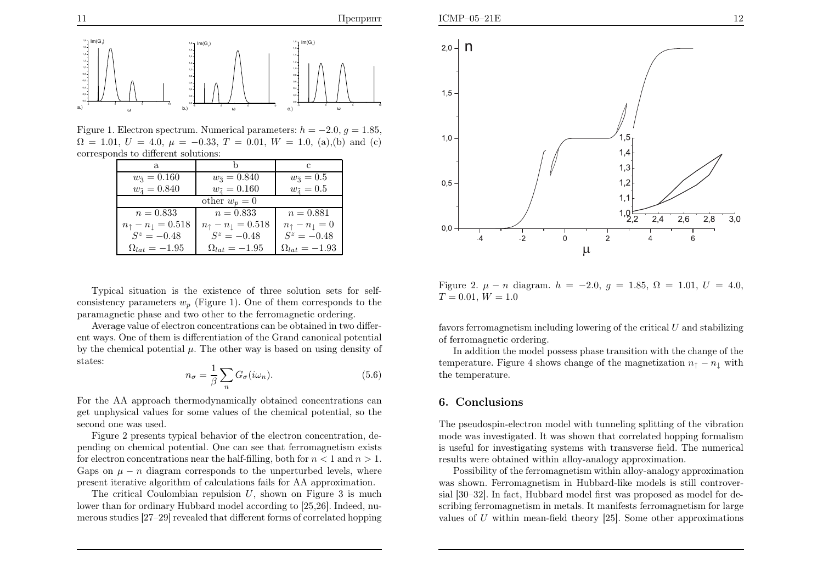

Figure 1. Electron spectrum. Numerical parameters:  $h = -2.0, g = 1.85,$ <br>On  $h = 1.01, H = 4.0, H = 0.22, T = 0.01, W = 1.0, (a) (b) and (c)$  $\Omega = 1.01, U = 4.0, \mu = -0.33, T = 0.01, W = 1.0, (a), (b)$  and (c) corresponds to different solutions:

<sup>ω</sup>

| a.                                      |                                | С                               |
|-----------------------------------------|--------------------------------|---------------------------------|
| $w_{\tilde{3}} = 0.160$                 | $w_{\tilde{3}} = 0.840$        | $w_{\tilde{3}}=0.5$             |
| $w_{\tilde{A}} = 0.840$                 | $w_{\tilde{4}} = 0.160$        | $w_{\tilde{4}}=0.5$             |
| other $w_p = 0$                         |                                |                                 |
| $n = 0.833$                             | $n = 0.833$                    | $n = 0.881$                     |
| $n_{\uparrow} - n_{\downarrow} = 0.518$ | $n_{\uparrow}-n_{\perp}=0.518$ | $n_{\uparrow}-n_{\downarrow}=0$ |
| $S^z = -0.48$                           | $S^z = -0.48$                  | $S^z = -0.48$                   |
| $\Omega_{lat} = -1.95$                  | $\Omega_{lat} = -1.95$         | $\Omega_{lat} = -1.93$          |

Typical situation is the existence of three solution sets for selfconsistency parameters  $w_p$  (Figure 1). One of them corresponds to the paramagnetic <sup>p</sup>hase and two other to the ferromagnetic ordering.

Average value of electron concentrations can be obtained in two different ways. One of them is differentiation of the Grand canonical potential by the chemical potential  $\mu$ . The other way is based on using density of states:

$$
n_{\sigma} = \frac{1}{\beta} \sum_{n} G_{\sigma}(i\omega_{n}).
$$
\n(5.6)

-5 0 5 10

<sup>ω</sup>

c.)

For the AA approac<sup>h</sup> thermodynamically obtained concentrations can get unphysical values for some values of the chemical potential, so thesecond one was used.

Figure <sup>2</sup> presents typical behavior of the electron concentration, depending on chemical potential. One can see that ferromagnetism existsfor electron concentrations near the half-filling, both for  $n < 1$  and  $n > 1$ . Gaps on  $\mu - n$  diagram corresponds to the unperturbed levels, where present iterative algorithm of calculations fails for AA approximation.

The critical Coulombian repulsion  $U$ , shown on Figure 3 is much lower than for ordinary Hubbard model according to [25,26]. Indeed, numerous studies [27–29] revealed that different forms of correlated hopping





Figure 2.  $\mu - n$  diagram.  $h = -2.0, g = 1.85, \Omega = 1.01, U = 4.0,$  $T = 0.01, W = 1.0$ 

favors ferromagnetism including lowering of the critical  $U$  and stabilizing of ferromagnetic ordering.

In addition the model possess <sup>p</sup>hase transition with the change of thetemperature. Figure 4 shows change of the magnetization  $n_{\uparrow} - n_{\downarrow}$  with the temperature.

#### 6. Conclusions

The pseudospin-electron model with tunneling splitting of the vibration mode was investigated. It was shown that correlated hopping formalism is useful for investigating systems with transverse field. The numerical results were obtained within alloy-analogy approximation.

Possibility of the ferromagnetism within alloy-analogy approximation was shown. Ferromagnetism in Hubbard-like models is still controversial [30–32]. In fact, Hubbard model first was proposed as model for describing ferromagnetism in metals. It manifests ferromagnetism for largevalues of  $U$  within mean-field theory [25]. Some other approximations

0,40,60,81,01,21,41,6

-5 0 5 10

 a.) -5 <sup>0</sup> <sup>5</sup> <sup>10</sup> 0,0

b.)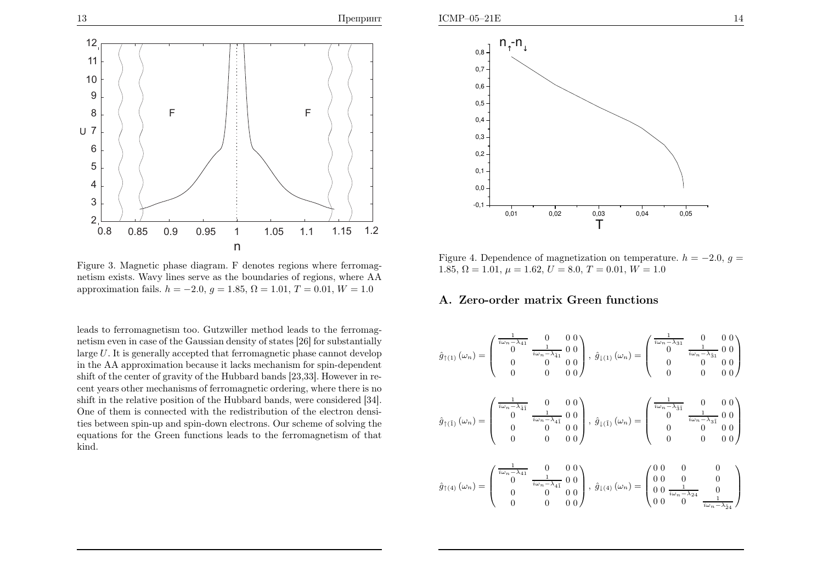

Figure 3. Magnetic <sup>p</sup>hase diagram. <sup>F</sup> denotes regions where ferromagnetism exists. Wavy lines serve as the boundaries of regions, where AAapproximation fails.  $h = -2.0, g = 1.85, \Omega = 1.01, T = 0.01, W = 1.0$ 

leads to ferromagnetism too. Gutzwiller method leads to the ferromagnetism even in case of the Gaussian density of states [26] for substantiallylarge  $U$ . It is generally accepted that ferromagnetic phase cannot develop in the AA approximation because it lacks mechanism for spin-dependent shift of the center of gravity of the Hubbard bands [23,33]. However in recent years other mechanisms of ferromagnetic ordering, where there is no shift in the relative position of the Hubbard bands, were considered [34]. One of them is connected with the redistribution of the electron densities between spin-up and spin-down electrons. Our scheme of solving the equations for the Green functions leads to the ferromagnetism of thatkind.



Figure 4. Dependence of magnetization on temperature.  $h = -2.0$ ,  $g =$ <br>1.95  $\Omega$  = 1.91  $\Omega$  = 1.92  $H = 0.01$   $W = 1.0$ 1.85,  $\Omega = 1.01$ ,  $\mu = 1.62$ ,  $U = 8.0$ ,  $T = 0.01$ ,  $W = 1.0$ 

#### A. Zero-order matrix Green functions

$$
\hat{g}_{\uparrow(1)}(\omega_n) = \begin{pmatrix} \frac{1}{i\omega_n - \lambda_{41}} & 0 & 0 & 0 \\ 0 & \frac{1}{i\omega_n - \lambda_{41}} & 0 & 0 \\ 0 & 0 & 0 & 0 \\ 0 & 0 & 0 & 0 \end{pmatrix}, \ \hat{g}_{\downarrow(1)}(\omega_n) = \begin{pmatrix} \frac{1}{i\omega_n - \lambda_{31}} & 0 & 0 & 0 \\ 0 & \frac{1}{i\omega_n - \lambda_{31}} & 0 & 0 \\ 0 & 0 & 0 & 0 \\ 0 & 0 & 0 & 0 \end{pmatrix}
$$

$$
\hat{g}_{\uparrow(\tilde{1})}\left(\omega_{n}\right) = \begin{pmatrix} \frac{1}{i\omega_{n}-\lambda_{\tilde{4}\tilde{1}}}&0&0&0\\ 0&\frac{1}{i\omega_{n}-\lambda_{\tilde{4}\tilde{1}}}&0&0\\ 0&0&0&0\\ 0&0&0&0\end{pmatrix},\ \hat{g}_{\downarrow(\tilde{1})}\left(\omega_{n}\right) = \begin{pmatrix} \frac{1}{i\omega_{n}-\lambda_{\tilde{3}\tilde{1}}}&0&0&0\\ 0&\frac{1}{i\omega_{n}-\lambda_{\tilde{3}\tilde{1}}}&0&0\\ 0&0&0&0&0\\ 0&0&0&0&0\end{pmatrix}
$$

$$
\hat{g}_{\uparrow(4)}(\omega_n) = \begin{pmatrix} \frac{1}{i\omega_n - \lambda_{41}} & 0 & 0 & 0 \\ 0 & \frac{1}{i\omega_n - \lambda_{41}} & 0 & 0 \\ 0 & 0 & 0 & 0 \\ 0 & 0 & 0 & 0 \end{pmatrix}, \ \hat{g}_{\downarrow(4)}(\omega_n) = \begin{pmatrix} 0 & 0 & 0 & 0 \\ 0 & 0 & 0 & 0 \\ 0 & 0 & \frac{1}{i\omega_n - \lambda_{24}} & 0 \\ 0 & 0 & 0 & \frac{1}{i\omega_n - \lambda_{24}} \end{pmatrix}
$$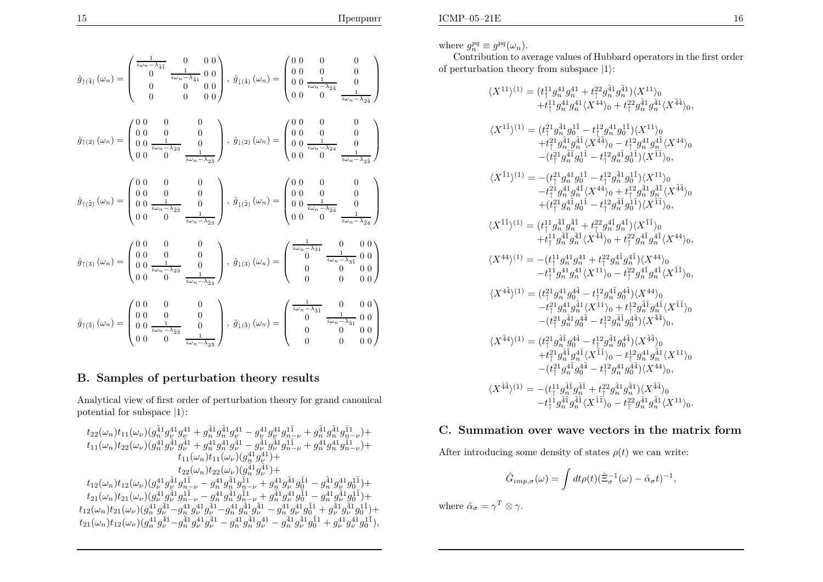where  $g_n^{pq} \equiv g^{pq}(\omega_n)$ .

 Contribution to average values of Hubbard operators in the first orderof perturbation theory from subspace  $|1\rangle$ :

$$
\langle X^{11}\rangle^{(1)} = (t_{\uparrow}^{11}g_{n}^{41}g_{n}^{41} + t_{\uparrow}^{22}g_{n}^{41}g_{n}^{41})\langle X^{11}\rangle_{0}
$$
\n
$$
+ t_{\uparrow}^{11}g_{n}^{41}g_{n}^{41}\langle X^{44}\rangle_{0} + t_{\uparrow}^{22}g_{n}^{41}g_{n}^{41}\langle X^{44}\rangle_{0},
$$
\n
$$
\langle X^{1\tilde{1}}\rangle^{(1)} = (t_{\uparrow}^{21}g_{n}^{\tilde{4}1}g_{0}^{\tilde{1}\tilde{1}} - t_{\uparrow}^{12}g_{n}^{41}g_{0}^{\tilde{1}\tilde{1}}\rangle\langle X^{11}\rangle_{0}
$$
\n
$$
+ t_{\uparrow}^{21}g_{n}^{\tilde{4}1}g_{0}^{\tilde{1}\tilde{1}} - t_{\uparrow}^{12}g_{n}^{41}g_{0}^{\tilde{1}\tilde{1}}\rangle\langle X^{11}\rangle_{0}
$$
\n
$$
- (t_{\uparrow}^{21}g_{n}^{\tilde{4}1}g_{0}^{\tilde{1}\tilde{1}} - t_{\uparrow}^{12}g_{n}^{\tilde{4}1}g_{0}^{\tilde{1}\tilde{1}}\rangle\langle X^{11}\rangle_{0},
$$
\n
$$
\langle X^{\tilde{1}1}\rangle^{(1)} = -(t_{\uparrow}^{21}g_{n}^{41}g_{0}^{\tilde{1}} - t_{\uparrow}^{22}g_{n}^{41}g_{0}^{\tilde{1}}\rangle\langle X^{\tilde{1}\tilde{1}}\rangle_{0},
$$
\n
$$
\langle X^{\tilde{1}1}\rangle^{(1)} = (t_{\uparrow}^{11}g_{n}^{41}g_{0}^{\tilde{1}\tilde{1}} - t_{\uparrow}^{12}g_{n}^{41}g_{0}^{\tilde{1}\tilde{1}}\rangle\langle X^{\tilde{1}\tilde{1}}\rangle_{0},
$$
\n
$$
\langle X^{\tilde{1}\tilde{1}}\rangle^{(1)} = (t_{\uparrow}^{11}g_{n}^{41}g_{n}^{\
$$

## C. Summation over wave vectors in the matrix form

After introducing some density of states  $\rho(t)$  we can write:

$$
\hat{G}_{imp,\sigma}(\omega) = \int dt \rho(t) (\hat{\Xi}_{\sigma}^{-1}(\omega) - \hat{\alpha}_{\sigma}t)^{-1},
$$

where  $\hat{\alpha}_{\sigma} = \gamma^T \otimes \gamma$ .

$$
\hat{g}_{\uparrow(\tilde{4})}\left(\omega_{n}\right)=\begin{pmatrix}\frac{1}{i\omega_{n}-\lambda_{\tilde{4}\tilde{1}}}&0&0&0\\0&\frac{1}{i\omega_{n}-\lambda_{\tilde{4}\tilde{1}}}&0&0\\0&0&0&0&0\\\end{pmatrix},\ \hat{g}_{\downarrow(\tilde{4})}\left(\omega_{n}\right)=\begin{pmatrix}0&0&0&0\\0&0&\frac{1}{i\omega_{n}-\lambda_{\tilde{2}\tilde{4}}}&0\\0&0&0&0&0\\\end{pmatrix}
$$

$$
\hat{g}_{\uparrow(2)}\left(\omega_{n}\right)=\begin{pmatrix}0&0&0&0\\0&0&\frac{1}{i\omega_{n}-\lambda_{2\tilde{3}}}&0\\0&0&\frac{1}{i\omega_{n}-\lambda_{2\tilde{3}}}&0\\0&0&\frac{1}{i\omega_{n}-\lambda_{2\tilde{3}}}&0\\\end{pmatrix},\ \hat{g}_{\downarrow(2)}\left(\omega_{n}\right)=\begin{pmatrix}0&0&0&0\\0&0&0&0\\0&0&\frac{1}{i\omega_{n}-\lambda_{2\tilde{4}}}&0\\0&0&\frac{1}{i\omega_{n}-\lambda_{2\tilde{4}}}&0\\\end{pmatrix}
$$

$$
\hat{g}_{\uparrow(\tilde{2})}\left(\omega_{n}\right)=\begin{pmatrix}0&0&0&0&0\\0&0&0&0&0\\0&0&\frac{1}{i\omega_{n}-\lambda_{2\tilde{3}}}&0\\0&0&\frac{1}{i\omega_{n}-\lambda_{2\tilde{3}}}&0\\\end{pmatrix},\ \hat{g}_{\downarrow(\tilde{2})}\left(\omega_{n}\right)=\begin{pmatrix}0&0&0&0&0\\0&0&0&0&0\\0&0&\frac{1}{i\omega_{n}-\lambda_{\tilde{2}\tilde{4}}}&0\\0&0&0&\frac{1}{i\omega_{n}-\lambda_{\tilde{2}\tilde{4}}}&0\\\end{pmatrix}
$$

$$
\hat{g}_{\uparrow(3)}\left(\omega_{n}\right)=\begin{pmatrix}0&0&0&0&0&0\\0&0&0&0&0&0\\0&0&\frac{1}{i\omega_{n}-\lambda_{2\tilde{3}}}&0\\0&0&\frac{1}{i\omega_{n
$$

## B. Samples of perturbation theory results

Analytical view of first order of perturbation theory for grand canonical potential for subspace  $|1\rangle$ :

$$
\begin{array}{c} t_{22}(\omega_n)t_{11}(\omega_\nu)(g_n^{\tilde{4}1}g_\nu^{41}g_\nu^{41}+g_n^{\tilde{4}1}g_n^{\tilde{4}1}g_\nu^{41}-g_\nu^{41}g_\nu^{41}g_{n-\nu}^{11}+g_n^{\tilde{4}1}g_n^{\tilde{1}1}g_{n-\nu}^{11})+\\ t_{11}(\omega_n)t_{22}(\omega_\nu)(g_n^{41}g_\nu^{41}g_\nu^{41}+g_n^{41}g_n^{41}g_\nu^{41}-g_\nu^{41}g_\nu^{41}g_{n-\nu}^{11}+g_n^{41}g_n^{41}g_{n-\nu}^{11})+\\ t_{11}(\omega_n)t_{11}(\omega_\nu)(g_n^{41}g_\nu^{41})+\\ t_{22}(\omega_n)t_{22}(\omega_\nu)(g_n^{41}g_\nu^{41})+\\ t_{22}(\omega_n)t_{22}(\omega_\nu)(g_n^{41}g_\nu^{41})+\\ t_{12}(\omega_n)t_{12}(\omega_\nu)(g_\nu^{41}g_\nu^{41}g_{n-\nu}^{11}-g_n^{41}g_n^{41}g_{n-\nu}^{11}+g_n^{41}g_\nu^{41}g_0^{11}-g_n^{41}g_\nu^{41}g_0^{11})+\\ t_{21}(\omega_n)t_{21}(\omega_\nu)(g_n^{41}g_\nu^{41}g_{n-\nu}^{11}-g_n^{41}g_n^{41}g_{n-\nu}^{11}+g_n^{41}g_\nu^{41}g_0^{11}-g_n^{41}g_\nu^{41}g_0^{11})+\\ t_{12}(\omega_n)t_{21}(\omega_\nu)(g_n^{41}g_\nu^{41}-g_n^{41}g_\nu^{41}g_\nu^{41}-g_n^{41}g_n^{41}g_\nu^{41}-g_n^{41}g_\nu^{41}g_0^{11}+g_\nu^{41}g_\nu^{41}g_0^{11})+\\ t_{21}(\omega_n)t_{12}(\omega_\nu)(g_n^{41}g_\nu^{41}-g_n^{41}g_\nu^{41}g_\nu^{41}-g_n^{41}g_n^{41}g_\nu^{41}-g_n^{41}g_\nu^{41}g_0^{1
$$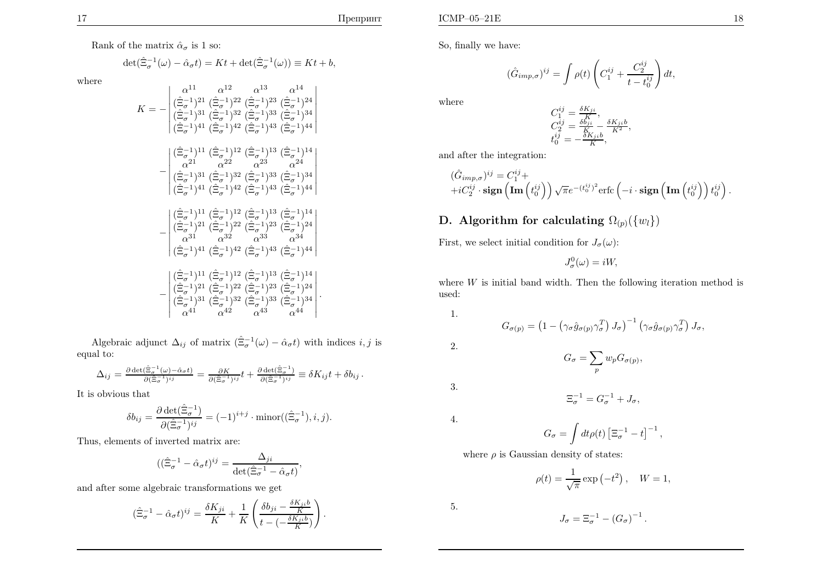Rank of the matrix  $\hat{\alpha}_{\sigma}$  is 1 so:

$$
\det(\hat{\Xi}_{\sigma}^{-1}(\omega) - \hat{\alpha}_{\sigma}t) = Kt + \det(\hat{\Xi}_{\sigma}^{-1}(\omega)) \equiv Kt + b,
$$

where

$$
K = -\begin{vmatrix} \alpha^{11} & \alpha^{12} & \alpha^{13} & \alpha^{14} \\ (\hat{\Xi}_{\sigma}^{-1})^{21} & (\hat{\Xi}_{\sigma}^{-1})^{22} & (\hat{\Xi}_{\sigma}^{-1})^{23} & (\hat{\Xi}_{\sigma}^{-1})^{24} \\ (\hat{\Xi}_{\sigma}^{-1})^{31} & (\hat{\Xi}_{\sigma}^{-1})^{32} & (\hat{\Xi}_{\sigma}^{-1})^{33} & (\hat{\Xi}_{\sigma}^{-1})^{34} \\ (\hat{\Xi}_{\sigma}^{-1})^{41} & (\hat{\Xi}_{\sigma}^{-1})^{42} & (\hat{\Xi}_{\sigma}^{-1})^{43} & (\hat{\Xi}_{\sigma}^{-1})^{44} \end{vmatrix}
$$

$$
-\begin{vmatrix} (\hat{\Xi}_{\sigma}^{-1})^{11} & (\hat{\Xi}_{\sigma}^{-1})^{12} & (\hat{\Xi}_{\sigma}^{-1})^{13} & (\hat{\Xi}_{\sigma}^{-1})^{14} \\ \alpha^{21} & \alpha^{22} & \alpha^{23} & \alpha^{24} \\ (\hat{\Xi}_{\sigma}^{-1})^{31} & (\hat{\Xi}_{\sigma}^{-1})^{32} & (\hat{\Xi}_{\sigma}^{-1})^{33} & (\hat{\Xi}_{\sigma}^{-1})^{34} \\ (\hat{\Xi}_{\sigma}^{-1})^{41} & (\hat{\Xi}_{\sigma}^{-1})^{42} & (\hat{\Xi}_{\sigma}^{-1})^{43} & (\hat{\Xi}_{\sigma}^{-1})^{44} \end{vmatrix}
$$

$$
-\begin{vmatrix} (\hat{\Xi}_{\sigma}^{-1})^{11} & (\hat{\Xi}_{\sigma}^{-1})^{12} & (\hat{\Xi}_{\sigma}^{-1})^{13} & (\hat{\Xi}_{\sigma}^{-1})^{14} \\ (\hat{\Xi}_{\sigma}^{-1})^{21} & (\hat{\Xi}_{\sigma}^{-1})^{22} & (\hat{\Xi}_{\sigma}^{-1})^{23} & (\hat{\Xi}_{\sigma}^{-1})^{24} \\ \alpha^{31} & \alpha^{32} & \alpha^{33} & \alpha^{34} \\ (\hat{\Xi}_{\sigma}^{-1})^{41} & (\hat{\Xi}_{\sigma}^{-1})^{42} & (\hat{\Xi}_{\sigma}^{-1})^{43} & (\hat{\Xi}_{\sigma}^{-1})^{44} \end{vmatrix}
$$

$$
-\begin{vmatrix} (\hat{\Xi}_{\sigma}^{-1})^{11} & (\hat{\Xi}_{\sigma}^{-1})^{12} & (\hat{\Xi
$$

Algebraic adjunct  $\Delta_{ij}$  of matrix  $(\hat{\Xi}_{\sigma}^{-1}(\omega) - \hat{\alpha}_{\sigma}t)$  with indices  $i, j$  is equa<sup>l</sup> to:

$$
\Delta_{ij} = \frac{\partial \det(\hat{\Xi}_{\sigma}^{-1}(\omega) - \hat{\alpha}_{\sigma}t)}{\partial(\hat{\Xi}_{\sigma}^{-1})^{ij}} = \frac{\partial K}{\partial(\hat{\Xi}_{\sigma}^{-1})^{ij}}t + \frac{\partial \det(\hat{\Xi}_{\sigma}^{-1})}{\partial(\hat{\Xi}_{\sigma}^{-1})^{ij}} \equiv \delta K_{ij}t + \delta b_{ij}.
$$

It is obvious that

$$
\delta b_{ij} = \frac{\partial \det(\hat{\Xi}_{\sigma}^{-1})}{\partial (\hat{\Xi}_{\sigma}^{-1})^{ij}} = (-1)^{i+j} \cdot \text{minor}((\hat{\Xi}_{\sigma}^{-1}), i, j).
$$

Thus, elements of inverted matrix are:

$$
((\hat{\Xi}_{\sigma}^{-1} - \hat{\alpha}_{\sigma}t)^{ij} = \frac{\Delta_{ji}}{\det(\hat{\Xi}_{\sigma}^{-1} - \hat{\alpha}_{\sigma}t)},
$$

and after some algebraic transformations we get

$$
(\hat{\Xi}_{\sigma}^{-1} - \hat{\alpha}_{\sigma}t)^{ij} = \frac{\delta K_{ji}}{K} + \frac{1}{K} \left( \frac{\delta b_{ji} - \frac{\delta K_{ji}b}{K}}{t - (-\frac{\delta K_{ji}b}{K})} \right).
$$

So, finally we have:

$$
(\hat{G}_{imp,\sigma})^{ij} = \int \rho(t) \left( C_1^{ij} + \frac{C_2^{ij}}{t - t_0^{ij}} \right) dt,
$$

where

$$
C_1^{ij} = \frac{\delta K_{ji}}{K},
$$
  
\n
$$
C_2^{ij} = \frac{\delta b_{ji}}{K} - \frac{\delta K_{ji}b}{K^2},
$$
  
\n
$$
t_0^{ij} = -\frac{\delta K_{ji}b}{K},
$$

and after the integration:

$$
\begin{aligned}\n(\hat{G}_{imp,\sigma})^{ij} &= C_1^{ij} + \\
+i C_2^{ij} \cdot \mathbf{sign}\left(\mathbf{Im}\left(t_0^{ij}\right)\right) \sqrt{\pi} e^{-(t_0^{ij})^2} \text{erfc}\left(-i \cdot \mathbf{sign}\left(\mathbf{Im}\left(t_0^{ij}\right)\right) t_0^{ij}\right).\n\end{aligned}
$$

# $\mathbf D.$  Algorithm for calculating  $\Omega_{(p)}(\{w_l\})$

First, we select initial condition for  $J_{\sigma}(\omega)$ :

 $J^0_\sigma(\omega) = iW,$ 

where  $W$  is initial band width. Then the following iteration method is used. used:

$$
\sim
$$

$$
G_{\sigma(p)} = \left(1 - \left(\gamma_{\sigma}\hat{g}_{\sigma(p)}\gamma_{\sigma}^{T}\right)J_{\sigma}\right)^{-1}\left(\gamma_{\sigma}\hat{g}_{\sigma(p)}\gamma_{\sigma}^{T}\right)J_{\sigma},
$$

2.

1.

$$
G_{\sigma} = \sum_{p} w_{p} G_{\sigma(p)},
$$

 $\Xi_{\sigma}^{-1} = G_{\sigma}^{-1} + J_{\sigma},$ 

3.

4.

$$
G_{\sigma} = \int dt \rho(t) \left[\Xi_{\sigma}^{-1} - t\right]^{-1},
$$

where  $\rho$  is Gaussian density of states:

$$
\rho(t) = \frac{1}{\sqrt{\pi}} \exp\left(-t^2\right), \quad W = 1,
$$

5.

$$
J_{\sigma} = \Xi_{\sigma}^{-1} - (G_{\sigma})^{-1}.
$$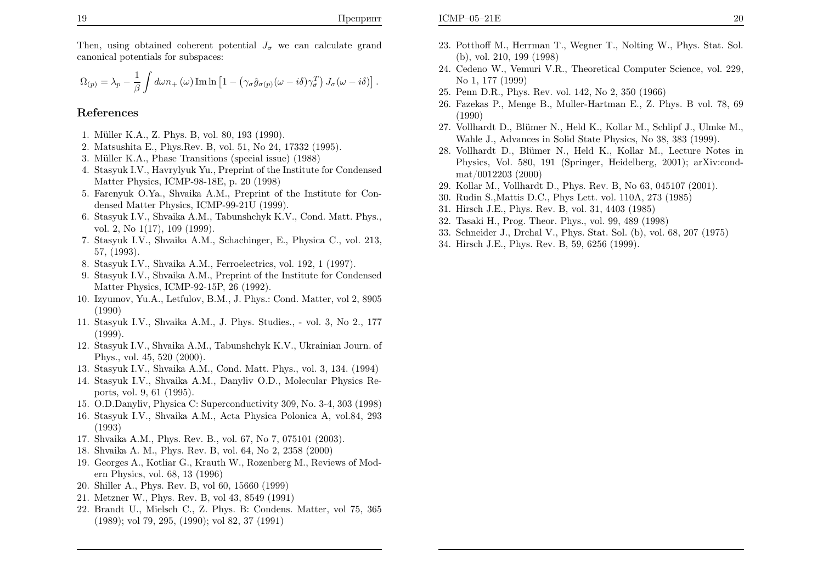Then, using obtained coherent potential  $J_{\sigma}$  we can calculate grand canonical potentials for subspaces:

$$
\Omega_{(p)} = \lambda_p - \frac{1}{\beta} \int d\omega n_+(\omega) \operatorname{Im} \ln \left[1 - \left(\gamma_\sigma \hat{g}_{\sigma(p)}(\omega - i\delta)\gamma_\sigma^T\right) J_\sigma(\omega - i\delta)\right].
$$

#### References

- 1. M¨uller K.A., Z. Phys. B, vol. 80, <sup>193</sup> (1990).
- 2. Matsushita E., Phys.Rev. B, vol. 51, No 24, <sup>17332</sup> (1995).
- 3. M¨uller K.A., Phase Transitions (special issue) (1988)
- 4. Stasyuk I.V., Havrylyuk Yu., Preprint of the Institute for CondensedMatter Physics, ICMP-98-18E, p. <sup>20</sup> (1998)
- 5. Farenyuk O.Ya., Shvaika A.M., Preprint of the Institute for Condensed Matter Physics, ICMP-99-21U (1999).
- 6. Stasyuk I.V., Shvaika A.M., Tabunshchyk K.V., Cond. Matt. Phys., vol. 2, No 1(17), <sup>109</sup> (1999).
- 7. Stasyuk I.V., Shvaika A.M., Schachinger, E., Physica C., vol. 213, 57, (1993).
- 8. Stasyuk I.V., Shvaika A.M., Ferroelectrics, vol. 192, <sup>1</sup> (1997).
- 9. Stasyuk I.V., Shvaika A.M., Preprint of the Institute for CondensedMatter Physics, ICMP-92-15P, <sup>26</sup> (1992).
- 10. Izyumov, Yu.A., Letfulov, B.M., J. Phys.: Cond. Matter, vol 2, <sup>8905</sup>(1990)
- 11. Stasyuk I.V., Shvaika A.M., J. Phys. Studies., vol. 3, No 2., <sup>177</sup>(1999).
- 12. Stasyuk I.V., Shvaika A.M., Tabunshchyk K.V., Ukrainian Journ. of Phys., vol. 45, <sup>520</sup> (2000).
- 13. Stasyuk I.V., Shvaika A.M., Cond. Matt. Phys., vol. 3, 134. (1994)
- 14. Stasyuk I.V., Shvaika A.M., Danyliv O.D., Molecular Physics Reports, vol. 9, <sup>61</sup> (1995).
- 15. O.D.Danyliv, Physica C: Superconductivity 309, No. 3-4, <sup>303</sup> (1998)
- 16. Stasyuk I.V., Shvaika A.M., Acta Physica Polonica A, vol.84, <sup>293</sup>(1993)
- 17. Shvaika A.M., Phys. Rev. B., vol. 67, No 7, <sup>075101</sup> (2003).
- 18. Shvaika A. M., Phys. Rev. B, vol. 64, No 2, <sup>2358</sup> (2000)
- 19. Georges A., Kotliar G., Krauth W., Rozenberg M., Reviews of Modern Physics, vol. 68, <sup>13</sup> (1996)
- 20. Shiller A., Phys. Rev. B, vol 60, <sup>15660</sup> (1999)
- 21. Metzner W., Phys. Rev. B, vol 43, <sup>8549</sup> (1991)
- 22. Brandt U., Mielsch C., Z. Phys. B: Condens. Matter, vol 75, <sup>365</sup>(1989); vol 79, 295, (1990); vol 82, <sup>37</sup> (1991)
- 23. Potthoff M., Herrman T., Wegner T., Nolting W., Phys. Stat. Sol. (b), vol. 210, <sup>199</sup> (1998)
- 24. Cedeno W., Vemuri V.R., Theoretical Computer Science, vol. 229, No 1, <sup>177</sup> (1999)
- 25. Penn D.R., Phys. Rev. vol. 142, No 2, <sup>350</sup> (1966)
- 26. Fazekas P., Menge B., Muller-Hartman E., Z. Phys. <sup>B</sup> vol. 78, <sup>69</sup>(1990)
- 27. Vollhardt D., Blümer N., Held K., Kollar M., Schlipf J., Ulmke M., Wahle J., Advances in Solid State Physics, No 38, <sup>383</sup> (1999).
- 28. Vollhardt D., Blümer N., Held K., Kollar M., Lecture Notes in Physics, Vol. 580, <sup>191</sup> (Springer, Heidelberg, 2001); arXiv:condmat/0012203 (2000)
- 29. Kollar M., Vollhardt D., Phys. Rev. B, No 63, <sup>045107</sup> (2001).
- 30. Rudin S.,Mattis D.C., Phys Lett. vol. 110A, <sup>273</sup> (1985)
- 31. Hirsch J.E., Phys. Rev. B, vol. 31, <sup>4403</sup> (1985)
- 32. Tasaki H., Prog. Theor. Phys., vol. 99, <sup>489</sup> (1998)
- 33. Schneider J., Drchal V., Phys. Stat. Sol. (b), vol. 68, <sup>207</sup> (1975)
- 34. Hirsch J.E., Phys. Rev. B, 59, <sup>6256</sup> (1999).